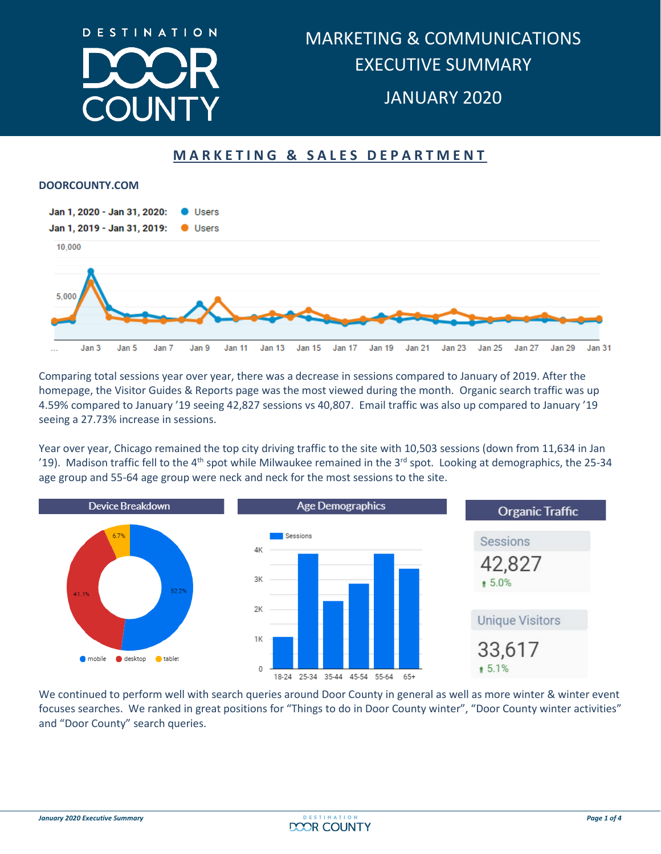

## **MARKETING & SALES DEPARTMENT**

#### **DOORCOUNTY.COM**



Comparing total sessions year over year, there was a decrease in sessions compared to January of 2019. After the homepage, the Visitor Guides & Reports page was the most viewed during the month. Organic search traffic was up 4.59% compared to January '19 seeing 42,827 sessions vs 40,807. Email traffic was also up compared to January '19 seeing a 27.73% increase in sessions.

Year over year, Chicago remained the top city driving traffic to the site with 10,503 sessions (down from 11,634 in Jan '19). Madison traffic fell to the 4<sup>th</sup> spot while Milwaukee remained in the 3<sup>rd</sup> spot. Looking at demographics, the 25-34 age group and 55-64 age group were neck and neck for the most sessions to the site.



focuses searches. We ranked in great positions for "Things to do in Door County winter", "Door County winter activities" and "Door County" search queries.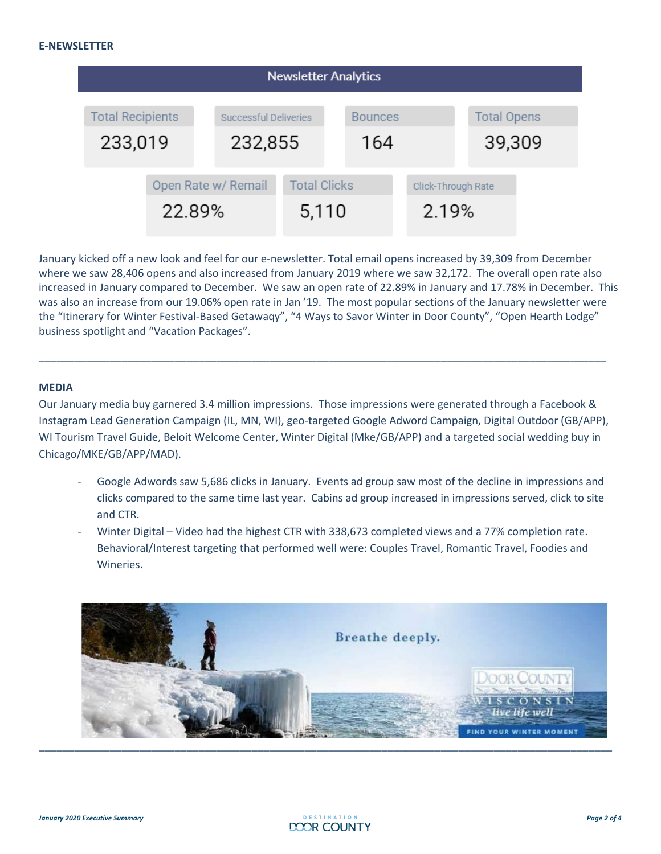

January kicked off a new look and feel for our e-newsletter. Total email opens increased by 39,309 from December where we saw 28,406 opens and also increased from January 2019 where we saw 32,172. The overall open rate also increased in January compared to December. We saw an open rate of 22.89% in January and 17.78% in December. This was also an increase from our 19.06% open rate in Jan '19. The most popular sections of the January newsletter were the "Itinerary for Winter Festival-Based Getawaqy", "4 Ways to Savor Winter in Door County", "Open Hearth Lodge" business spotlight and "Vacation Packages".

#### **MEDIA**

Our January media buy garnered 3.4 million impressions. Those impressions were generated through a Facebook & Instagram Lead Generation Campaign (IL, MN, WI), geo-targeted Google Adword Campaign, Digital Outdoor (GB/APP), WI Tourism Travel Guide, Beloit Welcome Center, Winter Digital (Mke/GB/APP) and a targeted social wedding buy in Chicago/MKE/GB/APP/MAD).

\_\_\_\_\_\_\_\_\_\_\_\_\_\_\_\_\_\_\_\_\_\_\_\_\_\_\_\_\_\_\_\_\_\_\_\_\_\_\_\_\_\_\_\_\_\_\_\_\_\_\_\_\_\_\_\_\_\_\_\_\_\_\_\_\_\_\_\_\_\_\_\_\_\_\_\_\_\_\_\_\_\_\_\_\_\_\_\_\_\_\_\_\_\_\_\_

- Google Adwords saw 5,686 clicks in January. Events ad group saw most of the decline in impressions and clicks compared to the same time last year. Cabins ad group increased in impressions served, click to site and CTR.
- Winter Digital Video had the highest CTR with 338,673 completed views and a 77% completion rate. Behavioral/Interest targeting that performed well were: Couples Travel, Romantic Travel, Foodies and Wineries.

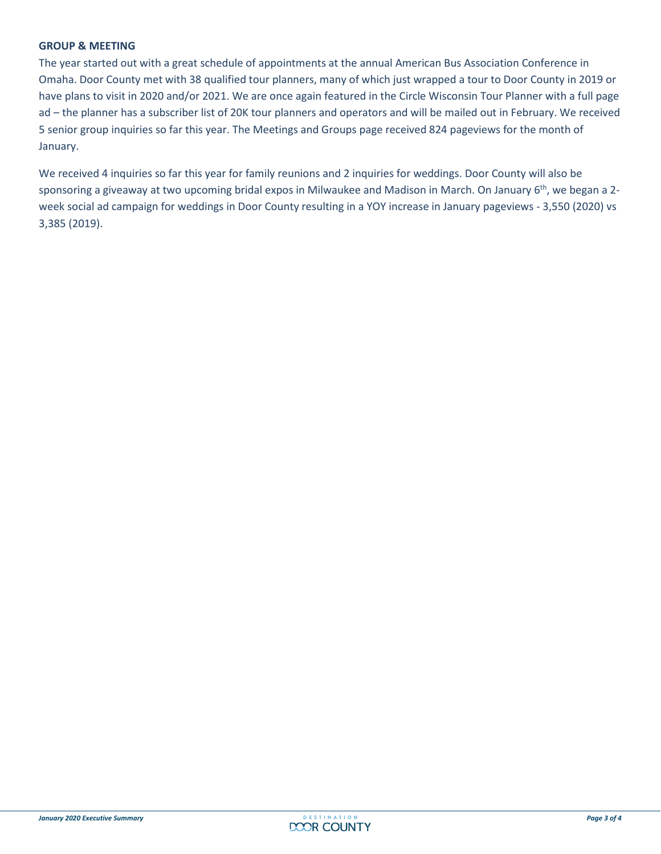#### **GROUP & MEETING**

The year started out with a great schedule of appointments at the annual American Bus Association Conference in Omaha. Door County met with 38 qualified tour planners, many of which just wrapped a tour to Door County in 2019 or have plans to visit in 2020 and/or 2021. We are once again featured in the Circle Wisconsin Tour Planner with a full page ad – the planner has a subscriber list of 20K tour planners and operators and will be mailed out in February. We received 5 senior group inquiries so far this year. The Meetings and Groups page received 824 pageviews for the month of January.

We received 4 inquiries so far this year for family reunions and 2 inquiries for weddings. Door County will also be sponsoring a giveaway at two upcoming bridal expos in Milwaukee and Madison in March. On January 6<sup>th</sup>, we began a 2week social ad campaign for weddings in Door County resulting in a YOY increase in January pageviews - 3,550 (2020) vs 3,385 (2019).